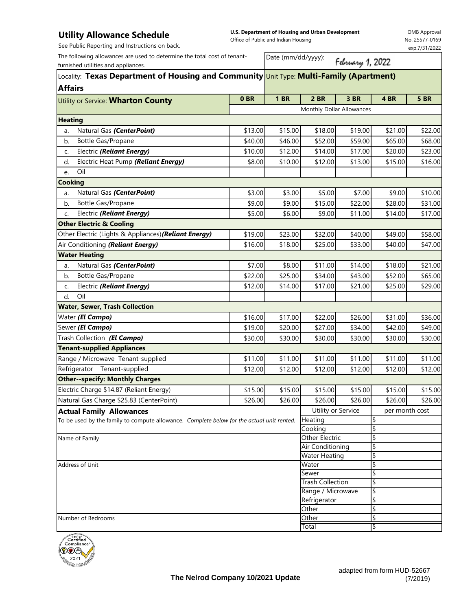## **Utility Allowance Schedule**

See Public Reporting and Instructions on back.

**U.S. Department of Housing and Urban Development**  Office of Public and Indian Housing

OMB Approval No. 25577-0169 exp.7/31/2022

The following allowances are used to determine the total cost of tenantfurnished utilities and appliances.

Date (mm/dd/yyyy):

February 1, 2022

| Locality: Texas Department of Housing and Community Unit Type: Multi-Family (Apartment)   |                           |             |                       |                                  |                |             |  |
|-------------------------------------------------------------------------------------------|---------------------------|-------------|-----------------------|----------------------------------|----------------|-------------|--|
| <b>Affairs</b>                                                                            | 0 <sub>BR</sub>           | <b>1 BR</b> | $2$ BR                | 3 BR                             | 4 BR           | <b>5 BR</b> |  |
| Utility or Service: Wharton County                                                        | Monthly Dollar Allowances |             |                       |                                  |                |             |  |
| <b>Heating</b>                                                                            |                           |             |                       |                                  |                |             |  |
| Natural Gas (CenterPoint)<br>a.                                                           | \$13.00                   | \$15.00     | \$18.00               | \$19.00                          | \$21.00        | \$22.00     |  |
| Bottle Gas/Propane<br>b.                                                                  | \$40.00                   | \$46.00     | \$52.00               | \$59.00                          | \$65.00        | \$68.00     |  |
| Electric (Reliant Energy)<br>C.                                                           | \$10.00                   | \$12.00     | \$14.00               | \$17.00                          | \$20.00        | \$23.00     |  |
| Electric Heat Pump (Reliant Energy)<br>d.                                                 | \$8.00                    | \$10.00     | \$12.00               | \$13.00                          | \$15.00        | \$16.00     |  |
| Oil<br>e.                                                                                 |                           |             |                       |                                  |                |             |  |
| <b>Cooking</b>                                                                            |                           |             |                       |                                  |                |             |  |
| Natural Gas (CenterPoint)<br>a.                                                           | \$3.00                    | \$3.00      | \$5.00                | \$7.00                           | \$9.00         | \$10.00     |  |
| Bottle Gas/Propane<br>b.                                                                  | \$9.00                    | \$9.00      | \$15.00               | \$22.00                          | \$28.00        | \$31.00     |  |
| Electric (Reliant Energy)<br>C.                                                           | \$5.00                    | \$6.00      | \$9.00                | \$11.00                          | \$14.00        | \$17.00     |  |
| <b>Other Electric &amp; Cooling</b>                                                       |                           |             |                       |                                  |                |             |  |
| Other Electric (Lights & Appliances) (Reliant Energy)                                     | \$19.00                   | \$23.00     | \$32.00               | \$40.00                          | \$49.00        | \$58.00     |  |
| Air Conditioning (Reliant Energy)                                                         | \$16.00                   | \$18.00     | \$25.00               | \$33.00                          | \$40.00        | \$47.00     |  |
| <b>Water Heating</b>                                                                      |                           |             |                       |                                  |                |             |  |
| Natural Gas (CenterPoint)<br>a.                                                           | \$7.00                    | \$8.00      | \$11.00               | \$14.00                          | \$18.00        | \$21.00     |  |
| Bottle Gas/Propane<br>b.                                                                  | \$22.00                   | \$25.00     | \$34.00               | \$43.00                          | \$52.00        | \$65.00     |  |
| Electric (Reliant Energy)                                                                 | \$12.00                   | \$14.00     | \$17.00               | \$21.00                          | \$25.00        | \$29.00     |  |
| c.<br>Oil<br>d.                                                                           |                           |             |                       |                                  |                |             |  |
| <b>Water, Sewer, Trash Collection</b>                                                     |                           |             |                       |                                  |                |             |  |
| Water (El Campo)                                                                          | \$16.00                   | \$17.00     | \$22.00               | \$26.00                          | \$31.00        | \$36.00     |  |
| Sewer (El Campo)                                                                          | \$19.00                   | \$20.00     | \$27.00               | \$34.00                          | \$42.00        | \$49.00     |  |
| Trash Collection (El Campo)                                                               | \$30.00                   | \$30.00     | \$30.00               | \$30.00                          | \$30.00        | \$30.00     |  |
| <b>Tenant-supplied Appliances</b>                                                         |                           |             |                       |                                  |                |             |  |
| Range / Microwave Tenant-supplied                                                         | \$11.00                   | \$11.00     | \$11.00               | \$11.00                          | \$11.00        | \$11.00     |  |
| Refrigerator Tenant-supplied                                                              | \$12.00                   | \$12.00     | \$12.00               | \$12.00                          | \$12.00        | \$12.00     |  |
| <b>Other--specify: Monthly Charges</b>                                                    |                           |             |                       |                                  |                |             |  |
| Electric Charge \$14.87 (Reliant Energy)                                                  | \$15.00                   | \$15.00     | \$15.00               | \$15.00                          | \$15.00        | \$15.00     |  |
| Natural Gas Charge \$25.83 (CenterPoint)                                                  | \$26.00                   | \$26.00     | \$26.00               | \$26.00                          | \$26.00        | \$26.00     |  |
| <b>Actual Family Allowances</b>                                                           |                           |             | Utility or Service    |                                  | per month cost |             |  |
| To be used by the family to compute allowance. Complete below for the actual unit rented. |                           |             | <b>Heating</b>        |                                  | P              |             |  |
|                                                                                           |                           |             | Cooking               |                                  | \$             |             |  |
| Name of Family                                                                            |                           |             | <b>Other Electric</b> |                                  | \$             |             |  |
|                                                                                           |                           |             | Air Conditioning      |                                  | \$             |             |  |
|                                                                                           |                           |             | <b>Water Heating</b>  |                                  | \$             |             |  |
| Address of Unit                                                                           |                           |             | Water                 |                                  | \$<br>\$       |             |  |
|                                                                                           |                           |             |                       | Sewer<br><b>Trash Collection</b> |                | \$          |  |
|                                                                                           |                           |             | Range / Microwave     |                                  | \$             |             |  |
|                                                                                           |                           |             | Refrigerator          |                                  | \$             |             |  |
|                                                                                           |                           |             | Other                 |                                  | \$             |             |  |
| Number of Bedrooms                                                                        |                           |             | Other                 |                                  | \$             |             |  |
|                                                                                           |                           |             | Total                 |                                  | \$             |             |  |